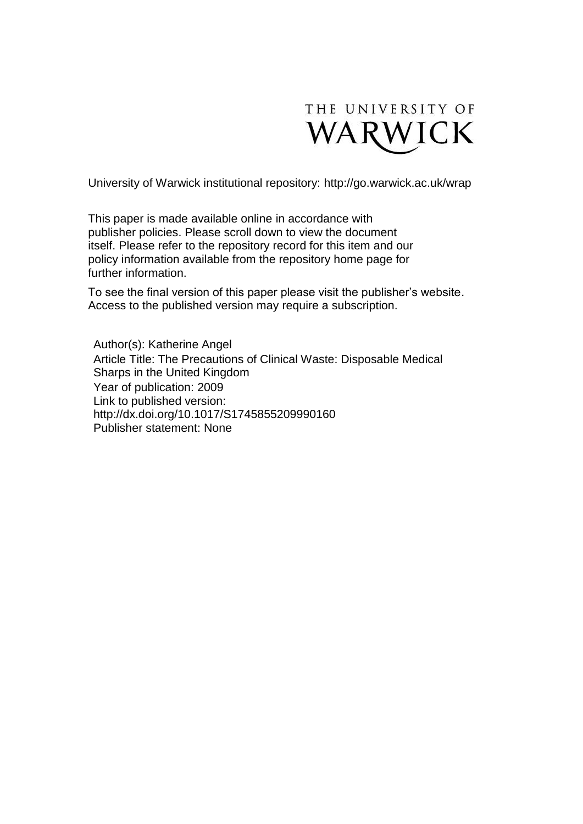

University of Warwick institutional repository:<http://go.warwick.ac.uk/wrap>

This paper is made available online in accordance with publisher policies. Please scroll down to view the document itself. Please refer to the repository record for this item and our policy information available from the repository home page for further information.

To see the final version of this paper please visit the publisher's website. Access to the published version may require a subscription.

Author(s): Katherine Angel Article Title: The Precautions of Clinical Waste: Disposable Medical Sharps in the United Kingdom Year of publication: 2009 Link to published version: http://dx.doi.org/10.1017/S1745855209990160 Publisher statement: None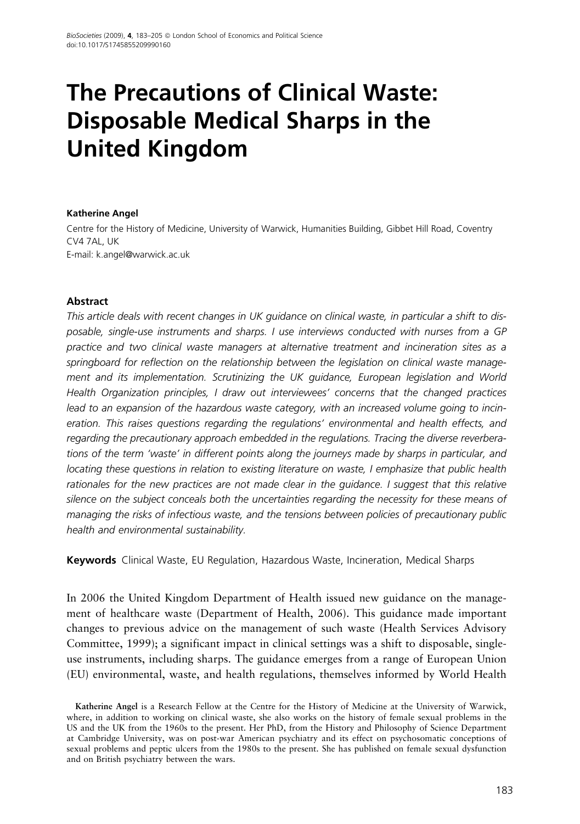# The Precautions of Clinical Waste: Disposable Medical Sharps in the United Kingdom

### Katherine Angel

Centre for the History of Medicine, University of Warwick, Humanities Building, Gibbet Hill Road, Coventry CV4 7AL, UK E-mail: k.angel@warwick.ac.uk

### Abstract

This article deals with recent changes in UK guidance on clinical waste, in particular a shift to disposable, single-use instruments and sharps. I use interviews conducted with nurses from a GP practice and two clinical waste managers at alternative treatment and incineration sites as a springboard for reflection on the relationship between the legislation on clinical waste management and its implementation. Scrutinizing the UK guidance, European legislation and World Health Organization principles, I draw out interviewees' concerns that the changed practices lead to an expansion of the hazardous waste category, with an increased volume going to incineration. This raises questions regarding the regulations' environmental and health effects, and regarding the precautionary approach embedded in the regulations. Tracing the diverse reverberations of the term 'waste' in different points along the journeys made by sharps in particular, and locating these questions in relation to existing literature on waste, I emphasize that public health rationales for the new practices are not made clear in the guidance. I suggest that this relative silence on the subject conceals both the uncertainties regarding the necessity for these means of managing the risks of infectious waste, and the tensions between policies of precautionary public health and environmental sustainability.

Keywords Clinical Waste, EU Regulation, Hazardous Waste, Incineration, Medical Sharps

In 2006 the United Kingdom Department of Health issued new guidance on the management of healthcare waste (Department of Health, 2006). This guidance made important changes to previous advice on the management of such waste (Health Services Advisory Committee, 1999); a significant impact in clinical settings was a shift to disposable, singleuse instruments, including sharps. The guidance emerges from a range of European Union (EU) environmental, waste, and health regulations, themselves informed by World Health

Katherine Angel is a Research Fellow at the Centre for the History of Medicine at the University of Warwick, where, in addition to working on clinical waste, she also works on the history of female sexual problems in the US and the UK from the 1960s to the present. Her PhD, from the History and Philosophy of Science Department at Cambridge University, was on post-war American psychiatry and its effect on psychosomatic conceptions of sexual problems and peptic ulcers from the 1980s to the present. She has published on female sexual dysfunction and on British psychiatry between the wars.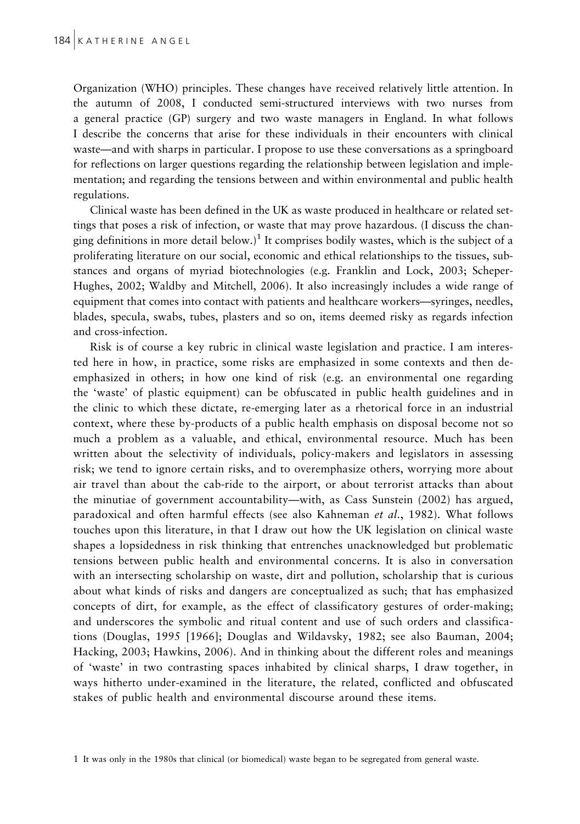Organization (WHO) principles. These changes have received relatively little attention. In the autumn of 2008, I conducted semi-structured interviews with two nurses from a general practice (GP) surgery and two waste managers in England. In what follows I describe the concerns that arise for these individuals in their encounters with clinical waste—and with sharps in particular. I propose to use these conversations as a springboard for reflections on larger questions regarding the relationship between legislation and implementation; and regarding the tensions between and within environmental and public health regulations.

Clinical waste has been defined in the UK as waste produced in healthcare or related settings that poses a risk of infection, or waste that may prove hazardous. (I discuss the changing definitions in more detail below.)<sup>1</sup> It comprises bodily wastes, which is the subject of a proliferating literature on our social, economic and ethical relationships to the tissues, substances and organs of myriad biotechnologies (e.g. Franklin and Lock, 2003; Scheper-Hughes, 2002; Waldby and Mitchell, 2006). It also increasingly includes a wide range of equipment that comes into contact with patients and healthcare workers—syringes, needles, blades, specula, swabs, tubes, plasters and so on, items deemed risky as regards infection and cross-infection.

Risk is of course a key rubric in clinical waste legislation and practice. I am interested here in how, in practice, some risks are emphasized in some contexts and then deemphasized in others; in how one kind of risk (e.g. an environmental one regarding the 'waste' of plastic equipment) can be obfuscated in public health guidelines and in the clinic to which these dictate, re-emerging later as a rhetorical force in an industrial context, where these by-products of a public health emphasis on disposal become not so much a problem as a valuable, and ethical, environmental resource. Much has been written about the selectivity of individuals, policy-makers and legislators in assessing risk; we tend to ignore certain risks, and to overemphasize others, worrying more about air travel than about the cab-ride to the airport, or about terrorist attacks than about the minutiae of government accountability—with, as Cass Sunstein (2002) has argued, paradoxical and often harmful effects (see also Kahneman et al., 1982). What follows touches upon this literature, in that I draw out how the UK legislation on clinical waste shapes a lopsidedness in risk thinking that entrenches unacknowledged but problematic tensions between public health and environmental concerns. It is also in conversation with an intersecting scholarship on waste, dirt and pollution, scholarship that is curious about what kinds of risks and dangers are conceptualized as such; that has emphasized concepts of dirt, for example, as the effect of classificatory gestures of order-making; and underscores the symbolic and ritual content and use of such orders and classifications (Douglas, 1995 [1966]; Douglas and Wildavsky, 1982; see also Bauman, 2004; Hacking, 2003; Hawkins, 2006). And in thinking about the different roles and meanings of 'waste' in two contrasting spaces inhabited by clinical sharps, I draw together, in ways hitherto under-examined in the literature, the related, conflicted and obfuscated stakes of public health and environmental discourse around these items.

<sup>1</sup> It was only in the 1980s that clinical (or biomedical) waste began to be segregated from general waste.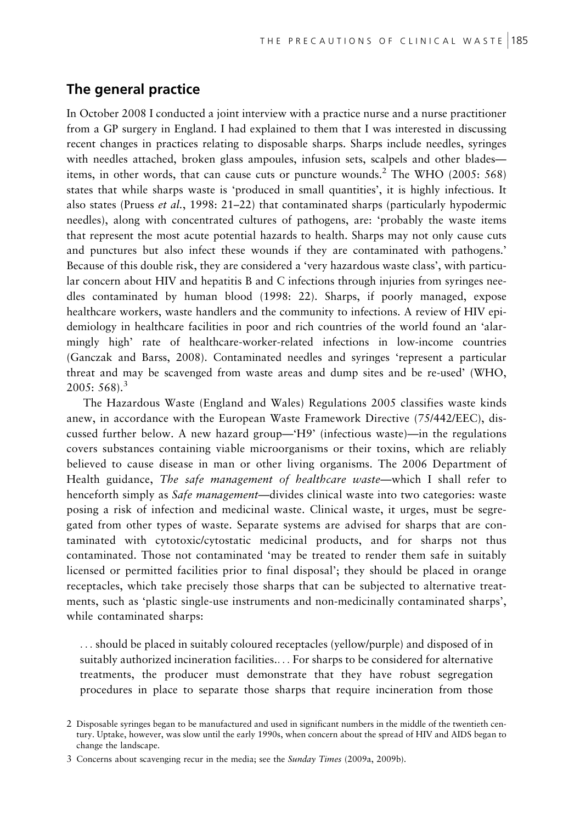# The general practice

In October 2008 I conducted a joint interview with a practice nurse and a nurse practitioner from a GP surgery in England. I had explained to them that I was interested in discussing recent changes in practices relating to disposable sharps. Sharps include needles, syringes with needles attached, broken glass ampoules, infusion sets, scalpels and other blades items, in other words, that can cause cuts or puncture wounds.<sup>2</sup> The WHO (2005: 568) states that while sharps waste is 'produced in small quantities', it is highly infectious. It also states (Pruess *et al.*, 1998: 21–22) that contaminated sharps (particularly hypodermic needles), along with concentrated cultures of pathogens, are: 'probably the waste items that represent the most acute potential hazards to health. Sharps may not only cause cuts and punctures but also infect these wounds if they are contaminated with pathogens.' Because of this double risk, they are considered a 'very hazardous waste class', with particular concern about HIV and hepatitis B and C infections through injuries from syringes needles contaminated by human blood (1998: 22). Sharps, if poorly managed, expose healthcare workers, waste handlers and the community to infections. A review of HIV epidemiology in healthcare facilities in poor and rich countries of the world found an 'alarmingly high' rate of healthcare-worker-related infections in low-income countries (Ganczak and Barss, 2008). Contaminated needles and syringes 'represent a particular threat and may be scavenged from waste areas and dump sites and be re-used' (WHO,  $2005:568$ <sup>3</sup>

The Hazardous Waste (England and Wales) Regulations 2005 classifies waste kinds anew, in accordance with the European Waste Framework Directive (75/442/EEC), discussed further below. A new hazard group—'H9' (infectious waste)—in the regulations covers substances containing viable microorganisms or their toxins, which are reliably believed to cause disease in man or other living organisms. The 2006 Department of Health guidance, The safe management of healthcare waste—which I shall refer to henceforth simply as *Safe management*—divides clinical waste into two categories: waste posing a risk of infection and medicinal waste. Clinical waste, it urges, must be segregated from other types of waste. Separate systems are advised for sharps that are contaminated with cytotoxic/cytostatic medicinal products, and for sharps not thus contaminated. Those not contaminated 'may be treated to render them safe in suitably licensed or permitted facilities prior to final disposal'; they should be placed in orange receptacles, which take precisely those sharps that can be subjected to alternative treatments, such as 'plastic single-use instruments and non-medicinally contaminated sharps', while contaminated sharps:

... should be placed in suitably coloured receptacles (yellow/purple) and disposed of in suitably authorized incineration facilities.... For sharps to be considered for alternative treatments, the producer must demonstrate that they have robust segregation procedures in place to separate those sharps that require incineration from those

<sup>2</sup> Disposable syringes began to be manufactured and used in significant numbers in the middle of the twentieth century. Uptake, however, was slow until the early 1990s, when concern about the spread of HIV and AIDS began to change the landscape.

<sup>3</sup> Concerns about scavenging recur in the media; see the Sunday Times (2009a, 2009b).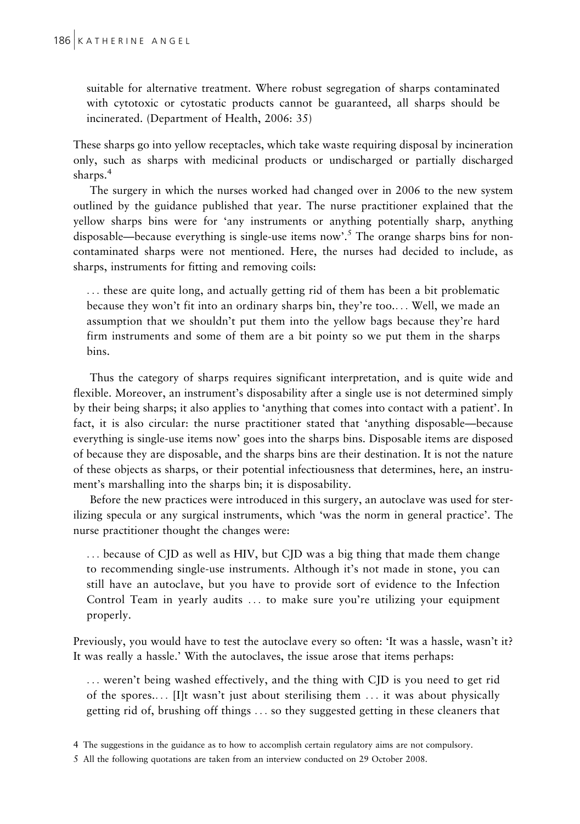suitable for alternative treatment. Where robust segregation of sharps contaminated with cytotoxic or cytostatic products cannot be guaranteed, all sharps should be incinerated. (Department of Health, 2006: 35)

These sharps go into yellow receptacles, which take waste requiring disposal by incineration only, such as sharps with medicinal products or undischarged or partially discharged sharps.<sup>4</sup>

The surgery in which the nurses worked had changed over in 2006 to the new system outlined by the guidance published that year. The nurse practitioner explained that the yellow sharps bins were for 'any instruments or anything potentially sharp, anything disposable—because everything is single-use items now'.<sup>5</sup> The orange sharps bins for noncontaminated sharps were not mentioned. Here, the nurses had decided to include, as sharps, instruments for fitting and removing coils:

... these are quite long, and actually getting rid of them has been a bit problematic because they won't fit into an ordinary sharps bin, they're too.... Well, we made an assumption that we shouldn't put them into the yellow bags because they're hard firm instruments and some of them are a bit pointy so we put them in the sharps bins.

Thus the category of sharps requires significant interpretation, and is quite wide and flexible. Moreover, an instrument's disposability after a single use is not determined simply by their being sharps; it also applies to 'anything that comes into contact with a patient'. In fact, it is also circular: the nurse practitioner stated that 'anything disposable—because everything is single-use items now' goes into the sharps bins. Disposable items are disposed of because they are disposable, and the sharps bins are their destination. It is not the nature of these objects as sharps, or their potential infectiousness that determines, here, an instrument's marshalling into the sharps bin; it is disposability.

Before the new practices were introduced in this surgery, an autoclave was used for sterilizing specula or any surgical instruments, which 'was the norm in general practice'. The nurse practitioner thought the changes were:

... because of CJD as well as HIV, but CJD was a big thing that made them change to recommending single-use instruments. Although it's not made in stone, you can still have an autoclave, but you have to provide sort of evidence to the Infection Control Team in yearly audits ... to make sure you're utilizing your equipment properly.

Previously, you would have to test the autoclave every so often: 'It was a hassle, wasn't it? It was really a hassle.' With the autoclaves, the issue arose that items perhaps:

... weren't being washed effectively, and the thing with CJD is you need to get rid of the spores.... [I]t wasn't just about sterilising them ... it was about physically getting rid of, brushing off things ... so they suggested getting in these cleaners that

<sup>4</sup> The suggestions in the guidance as to how to accomplish certain regulatory aims are not compulsory.

<sup>5</sup> All the following quotations are taken from an interview conducted on 29 October 2008.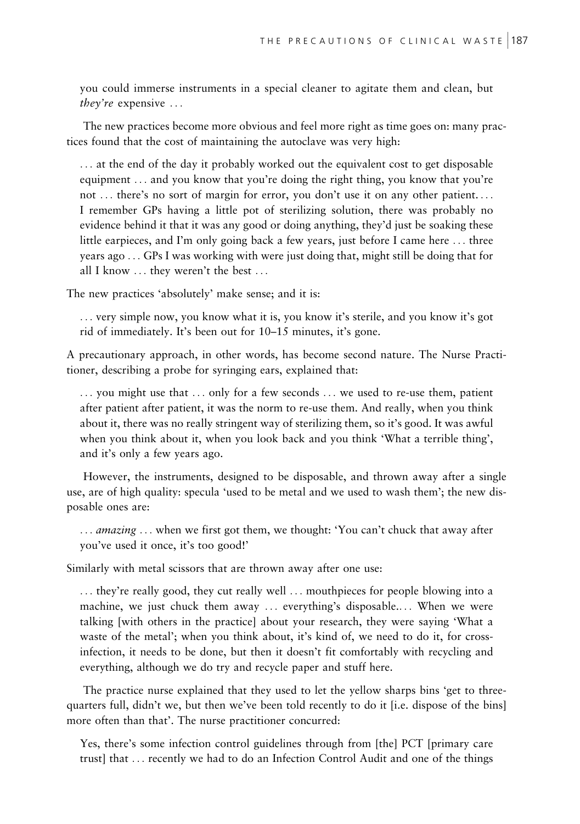you could immerse instruments in a special cleaner to agitate them and clean, but *they're* expensive  $\dots$ 

The new practices become more obvious and feel more right as time goes on: many practices found that the cost of maintaining the autoclave was very high:

... at the end of the day it probably worked out the equivalent cost to get disposable equipment ... and you know that you're doing the right thing, you know that you're not ... there's no sort of margin for error, you don't use it on any other patient. ... I remember GPs having a little pot of sterilizing solution, there was probably no evidence behind it that it was any good or doing anything, they'd just be soaking these little earpieces, and I'm only going back a few years, just before I came here ... three years ago ... GPs I was working with were just doing that, might still be doing that for all I know ... they weren't the best ...

The new practices 'absolutely' make sense; and it is:

... very simple now, you know what it is, you know it's sterile, and you know it's got rid of immediately. It's been out for 10–15 minutes, it's gone.

A precautionary approach, in other words, has become second nature. The Nurse Practitioner, describing a probe for syringing ears, explained that:

... you might use that ... only for a few seconds ... we used to re-use them, patient after patient after patient, it was the norm to re-use them. And really, when you think about it, there was no really stringent way of sterilizing them, so it's good. It was awful when you think about it, when you look back and you think 'What a terrible thing', and it's only a few years ago.

However, the instruments, designed to be disposable, and thrown away after a single use, are of high quality: specula 'used to be metal and we used to wash them'; the new disposable ones are:

... *amazing* ... when we first got them, we thought: 'You can't chuck that away after you've used it once, it's too good!'

Similarly with metal scissors that are thrown away after one use:

... they're really good, they cut really well ... mouthpieces for people blowing into a machine, we just chuck them away ... everything's disposable.... When we were talking [with others in the practice] about your research, they were saying 'What a waste of the metal'; when you think about, it's kind of, we need to do it, for crossinfection, it needs to be done, but then it doesn't fit comfortably with recycling and everything, although we do try and recycle paper and stuff here.

The practice nurse explained that they used to let the yellow sharps bins 'get to threequarters full, didn't we, but then we've been told recently to do it [i.e. dispose of the bins] more often than that'. The nurse practitioner concurred:

Yes, there's some infection control guidelines through from [the] PCT [primary care trust] that ... recently we had to do an Infection Control Audit and one of the things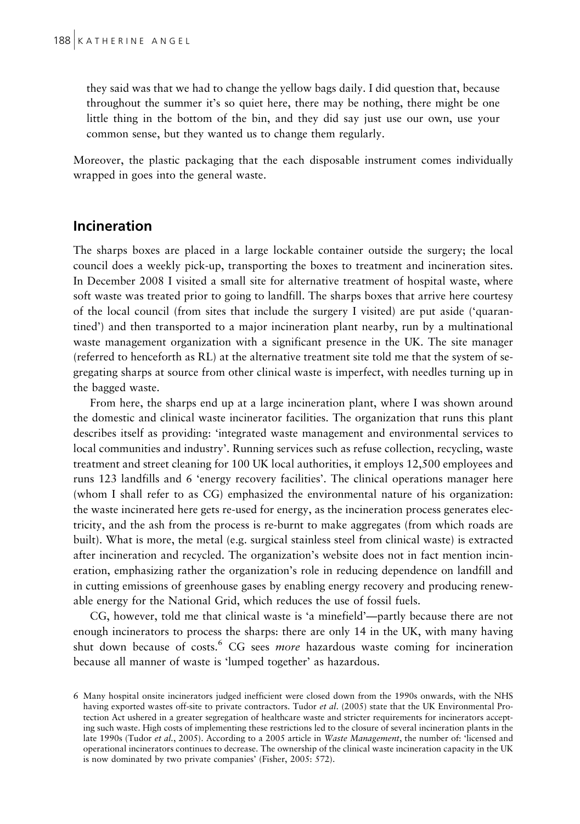they said was that we had to change the yellow bags daily. I did question that, because throughout the summer it's so quiet here, there may be nothing, there might be one little thing in the bottom of the bin, and they did say just use our own, use your common sense, but they wanted us to change them regularly.

Moreover, the plastic packaging that the each disposable instrument comes individually wrapped in goes into the general waste.

## Incineration

The sharps boxes are placed in a large lockable container outside the surgery; the local council does a weekly pick-up, transporting the boxes to treatment and incineration sites. In December 2008 I visited a small site for alternative treatment of hospital waste, where soft waste was treated prior to going to landfill. The sharps boxes that arrive here courtesy of the local council (from sites that include the surgery I visited) are put aside ('quarantined') and then transported to a major incineration plant nearby, run by a multinational waste management organization with a significant presence in the UK. The site manager (referred to henceforth as RL) at the alternative treatment site told me that the system of segregating sharps at source from other clinical waste is imperfect, with needles turning up in the bagged waste.

From here, the sharps end up at a large incineration plant, where I was shown around the domestic and clinical waste incinerator facilities. The organization that runs this plant describes itself as providing: 'integrated waste management and environmental services to local communities and industry'. Running services such as refuse collection, recycling, waste treatment and street cleaning for 100 UK local authorities, it employs 12,500 employees and runs 123 landfills and 6 'energy recovery facilities'. The clinical operations manager here (whom I shall refer to as CG) emphasized the environmental nature of his organization: the waste incinerated here gets re-used for energy, as the incineration process generates electricity, and the ash from the process is re-burnt to make aggregates (from which roads are built). What is more, the metal (e.g. surgical stainless steel from clinical waste) is extracted after incineration and recycled. The organization's website does not in fact mention incineration, emphasizing rather the organization's role in reducing dependence on landfill and in cutting emissions of greenhouse gases by enabling energy recovery and producing renewable energy for the National Grid, which reduces the use of fossil fuels.

CG, however, told me that clinical waste is 'a minefield'—partly because there are not enough incinerators to process the sharps: there are only 14 in the UK, with many having shut down because of costs. $6$  CG sees *more* hazardous waste coming for incineration because all manner of waste is 'lumped together' as hazardous.

<sup>6</sup> Many hospital onsite incinerators judged inefficient were closed down from the 1990s onwards, with the NHS having exported wastes off-site to private contractors. Tudor *et al.* (2005) state that the UK Environmental Protection Act ushered in a greater segregation of healthcare waste and stricter requirements for incinerators accepting such waste. High costs of implementing these restrictions led to the closure of several incineration plants in the late 1990s (Tudor et al., 2005). According to a 2005 article in Waste Management, the number of: 'licensed and operational incinerators continues to decrease. The ownership of the clinical waste incineration capacity in the UK is now dominated by two private companies' (Fisher, 2005: 572).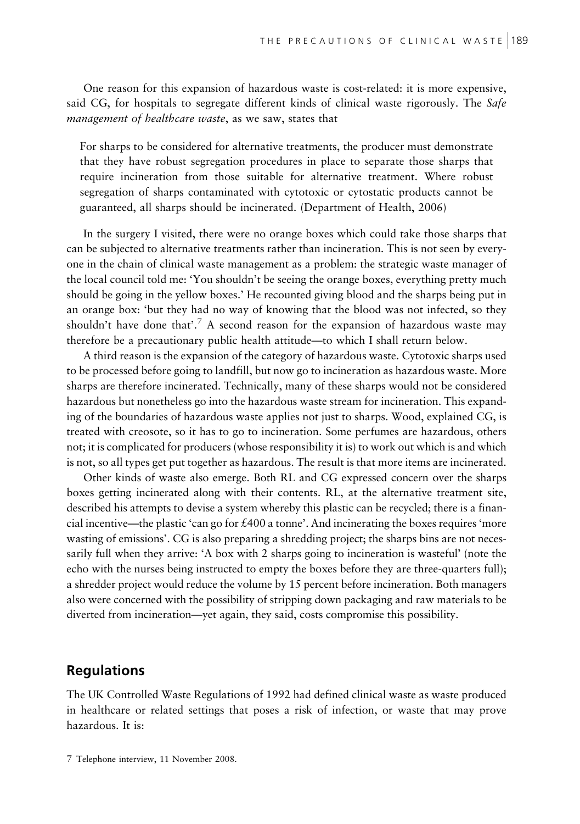One reason for this expansion of hazardous waste is cost-related: it is more expensive, said CG, for hospitals to segregate different kinds of clinical waste rigorously. The *Safe* management of healthcare waste, as we saw, states that

For sharps to be considered for alternative treatments, the producer must demonstrate that they have robust segregation procedures in place to separate those sharps that require incineration from those suitable for alternative treatment. Where robust segregation of sharps contaminated with cytotoxic or cytostatic products cannot be guaranteed, all sharps should be incinerated. (Department of Health, 2006)

In the surgery I visited, there were no orange boxes which could take those sharps that can be subjected to alternative treatments rather than incineration. This is not seen by everyone in the chain of clinical waste management as a problem: the strategic waste manager of the local council told me: 'You shouldn't be seeing the orange boxes, everything pretty much should be going in the yellow boxes.' He recounted giving blood and the sharps being put in an orange box: 'but they had no way of knowing that the blood was not infected, so they shouldn't have done that'.<sup>7</sup> A second reason for the expansion of hazardous waste may therefore be a precautionary public health attitude—to which I shall return below.

A third reason is the expansion of the category of hazardous waste. Cytotoxic sharps used to be processed before going to landfill, but now go to incineration as hazardous waste. More sharps are therefore incinerated. Technically, many of these sharps would not be considered hazardous but nonetheless go into the hazardous waste stream for incineration. This expanding of the boundaries of hazardous waste applies not just to sharps. Wood, explained CG, is treated with creosote, so it has to go to incineration. Some perfumes are hazardous, others not; it is complicated for producers (whose responsibility it is) to work out which is and which is not, so all types get put together as hazardous. The result is that more items are incinerated.

Other kinds of waste also emerge. Both RL and CG expressed concern over the sharps boxes getting incinerated along with their contents. RL, at the alternative treatment site, described his attempts to devise a system whereby this plastic can be recycled; there is a financial incentive—the plastic 'can go for  $£400$  a tonne'. And incinerating the boxes requires 'more wasting of emissions'. CG is also preparing a shredding project; the sharps bins are not necessarily full when they arrive: 'A box with 2 sharps going to incineration is wasteful' (note the echo with the nurses being instructed to empty the boxes before they are three-quarters full); a shredder project would reduce the volume by 15 percent before incineration. Both managers also were concerned with the possibility of stripping down packaging and raw materials to be diverted from incineration—yet again, they said, costs compromise this possibility.

## Regulations

The UK Controlled Waste Regulations of 1992 had defined clinical waste as waste produced in healthcare or related settings that poses a risk of infection, or waste that may prove hazardous. It is:

<sup>7</sup> Telephone interview, 11 November 2008.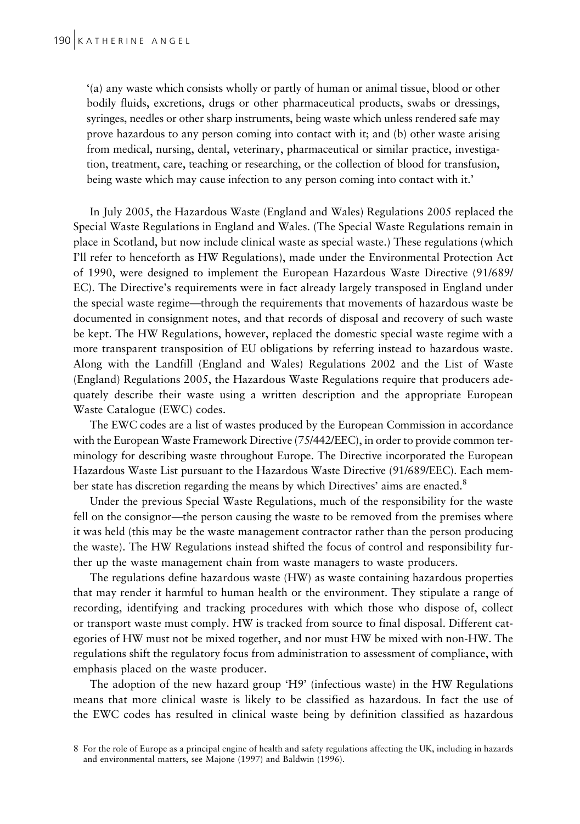'(a) any waste which consists wholly or partly of human or animal tissue, blood or other bodily fluids, excretions, drugs or other pharmaceutical products, swabs or dressings, syringes, needles or other sharp instruments, being waste which unless rendered safe may prove hazardous to any person coming into contact with it; and (b) other waste arising from medical, nursing, dental, veterinary, pharmaceutical or similar practice, investigation, treatment, care, teaching or researching, or the collection of blood for transfusion, being waste which may cause infection to any person coming into contact with it.'

In July 2005, the Hazardous Waste (England and Wales) Regulations 2005 replaced the Special Waste Regulations in England and Wales. (The Special Waste Regulations remain in place in Scotland, but now include clinical waste as special waste.) These regulations (which I'll refer to henceforth as HW Regulations), made under the Environmental Protection Act of 1990, were designed to implement the European Hazardous Waste Directive (91/689/ EC). The Directive's requirements were in fact already largely transposed in England under the special waste regime—through the requirements that movements of hazardous waste be documented in consignment notes, and that records of disposal and recovery of such waste be kept. The HW Regulations, however, replaced the domestic special waste regime with a more transparent transposition of EU obligations by referring instead to hazardous waste. Along with the Landfill (England and Wales) Regulations 2002 and the List of Waste (England) Regulations 2005, the Hazardous Waste Regulations require that producers adequately describe their waste using a written description and the appropriate European Waste Catalogue (EWC) codes.

The EWC codes are a list of wastes produced by the European Commission in accordance with the European Waste Framework Directive (75/442/EEC), in order to provide common terminology for describing waste throughout Europe. The Directive incorporated the European Hazardous Waste List pursuant to the Hazardous Waste Directive (91/689/EEC). Each member state has discretion regarding the means by which Directives' aims are enacted.<sup>8</sup>

Under the previous Special Waste Regulations, much of the responsibility for the waste fell on the consignor—the person causing the waste to be removed from the premises where it was held (this may be the waste management contractor rather than the person producing the waste). The HW Regulations instead shifted the focus of control and responsibility further up the waste management chain from waste managers to waste producers.

The regulations define hazardous waste (HW) as waste containing hazardous properties that may render it harmful to human health or the environment. They stipulate a range of recording, identifying and tracking procedures with which those who dispose of, collect or transport waste must comply. HW is tracked from source to final disposal. Different categories of HW must not be mixed together, and nor must HW be mixed with non-HW. The regulations shift the regulatory focus from administration to assessment of compliance, with emphasis placed on the waste producer.

The adoption of the new hazard group 'H9' (infectious waste) in the HW Regulations means that more clinical waste is likely to be classified as hazardous. In fact the use of the EWC codes has resulted in clinical waste being by definition classified as hazardous

<sup>8</sup> For the role of Europe as a principal engine of health and safety regulations affecting the UK, including in hazards and environmental matters, see Majone (1997) and Baldwin (1996).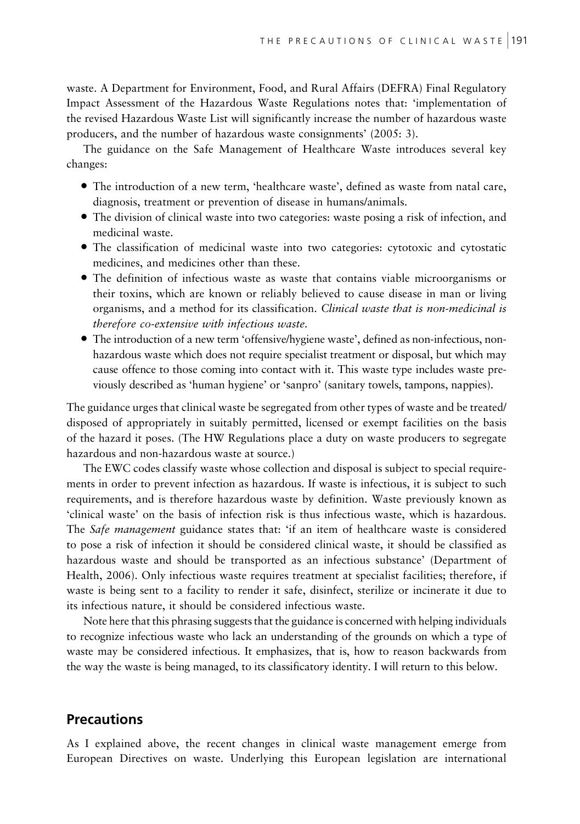waste. A Department for Environment, Food, and Rural Affairs (DEFRA) Final Regulatory Impact Assessment of the Hazardous Waste Regulations notes that: 'implementation of the revised Hazardous Waste List will significantly increase the number of hazardous waste producers, and the number of hazardous waste consignments' (2005: 3).

The guidance on the Safe Management of Healthcare Waste introduces several key changes:

- The introduction of a new term, 'healthcare waste', defined as waste from natal care, diagnosis, treatment or prevention of disease in humans/animals.
- The division of clinical waste into two categories: waste posing a risk of infection, and medicinal waste.
- The classification of medicinal waste into two categories: cytotoxic and cytostatic medicines, and medicines other than these.
- \* The definition of infectious waste as waste that contains viable microorganisms or their toxins, which are known or reliably believed to cause disease in man or living organisms, and a method for its classification. Clinical waste that is non-medicinal is therefore co-extensive with infectious waste.
- \* The introduction of a new term 'offensive/hygiene waste', defined as non-infectious, nonhazardous waste which does not require specialist treatment or disposal, but which may cause offence to those coming into contact with it. This waste type includes waste previously described as 'human hygiene' or 'sanpro' (sanitary towels, tampons, nappies).

The guidance urges that clinical waste be segregated from other types of waste and be treated/ disposed of appropriately in suitably permitted, licensed or exempt facilities on the basis of the hazard it poses. (The HW Regulations place a duty on waste producers to segregate hazardous and non-hazardous waste at source.)

The EWC codes classify waste whose collection and disposal is subject to special requirements in order to prevent infection as hazardous. If waste is infectious, it is subject to such requirements, and is therefore hazardous waste by definition. Waste previously known as 'clinical waste' on the basis of infection risk is thus infectious waste, which is hazardous. The *Safe management* guidance states that: 'if an item of healthcare waste is considered to pose a risk of infection it should be considered clinical waste, it should be classified as hazardous waste and should be transported as an infectious substance' (Department of Health, 2006). Only infectious waste requires treatment at specialist facilities; therefore, if waste is being sent to a facility to render it safe, disinfect, sterilize or incinerate it due to its infectious nature, it should be considered infectious waste.

Note here that this phrasing suggests that the guidance is concerned with helping individuals to recognize infectious waste who lack an understanding of the grounds on which a type of waste may be considered infectious. It emphasizes, that is, how to reason backwards from the way the waste is being managed, to its classificatory identity. I will return to this below.

## **Precautions**

As I explained above, the recent changes in clinical waste management emerge from European Directives on waste. Underlying this European legislation are international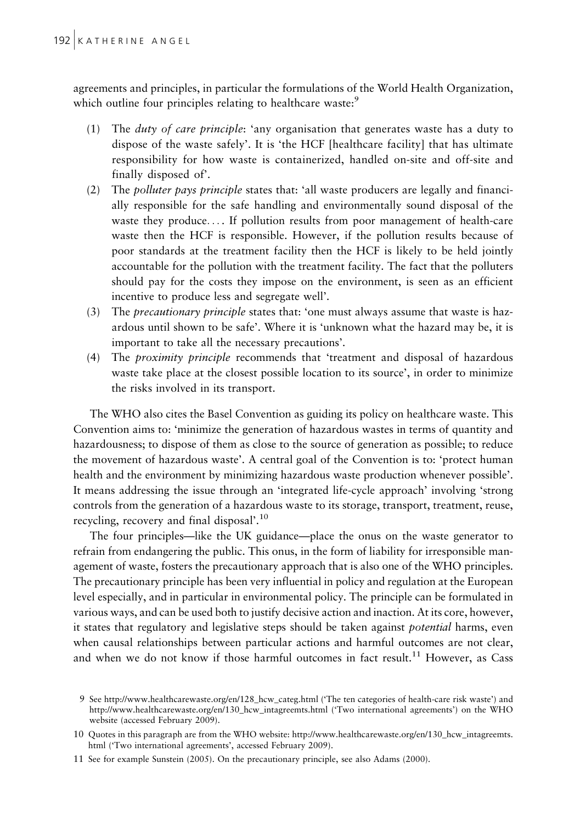agreements and principles, in particular the formulations of the World Health Organization, which outline four principles relating to healthcare waste:<sup>9</sup>

- (1) The *duty of care principle*: 'any organisation that generates waste has a duty to dispose of the waste safely'. It is 'the HCF [healthcare facility] that has ultimate responsibility for how waste is containerized, handled on-site and off-site and finally disposed of'.
- (2) The *polluter pays principle* states that: 'all waste producers are legally and financially responsible for the safe handling and environmentally sound disposal of the waste they produce... . If pollution results from poor management of health-care waste then the HCF is responsible. However, if the pollution results because of poor standards at the treatment facility then the HCF is likely to be held jointly accountable for the pollution with the treatment facility. The fact that the polluters should pay for the costs they impose on the environment, is seen as an efficient incentive to produce less and segregate well'.
- (3) The *precautionary principle* states that: 'one must always assume that waste is hazardous until shown to be safe'. Where it is 'unknown what the hazard may be, it is important to take all the necessary precautions'.
- (4) The proximity principle recommends that 'treatment and disposal of hazardous waste take place at the closest possible location to its source', in order to minimize the risks involved in its transport.

The WHO also cites the Basel Convention as guiding its policy on healthcare waste. This Convention aims to: 'minimize the generation of hazardous wastes in terms of quantity and hazardousness; to dispose of them as close to the source of generation as possible; to reduce the movement of hazardous waste'. A central goal of the Convention is to: 'protect human health and the environment by minimizing hazardous waste production whenever possible'. It means addressing the issue through an 'integrated life-cycle approach' involving 'strong controls from the generation of a hazardous waste to its storage, transport, treatment, reuse, recycling, recovery and final disposal'.<sup>10</sup>

The four principles—like the UK guidance—place the onus on the waste generator to refrain from endangering the public. This onus, in the form of liability for irresponsible management of waste, fosters the precautionary approach that is also one of the WHO principles. The precautionary principle has been very influential in policy and regulation at the European level especially, and in particular in environmental policy. The principle can be formulated in various ways, and can be used both to justify decisive action and inaction. At its core, however, it states that regulatory and legislative steps should be taken against *potential* harms, even when causal relationships between particular actions and harmful outcomes are not clear, and when we do not know if those harmful outcomes in fact result.<sup>11</sup> However, as Cass

<sup>9</sup> See [http://www.healthcarewaste.org/en/128\\_hcw\\_categ.html](http://www.healthcarewaste.org/en/128_hcw_categ.html) ('The ten categories of health-care risk waste') and [http://www.healthcarewaste.org/en/130\\_hcw\\_intagreemts.html](http://www.healthcarewaste.org/en/130_hcw_intagreemts.html) ('Two international agreements') on the WHO website (accessed February 2009).

<sup>10</sup> Quotes in this paragraph are from the WHO website: [http://www.healthcarewaste.org/en/130\\_hcw\\_intagreemts.](http://www.healthcarewaste.org/en/130_hcw_intagreemts) html ('Two international agreements', accessed February 2009).

<sup>11</sup> See for example Sunstein (2005). On the precautionary principle, see also Adams (2000).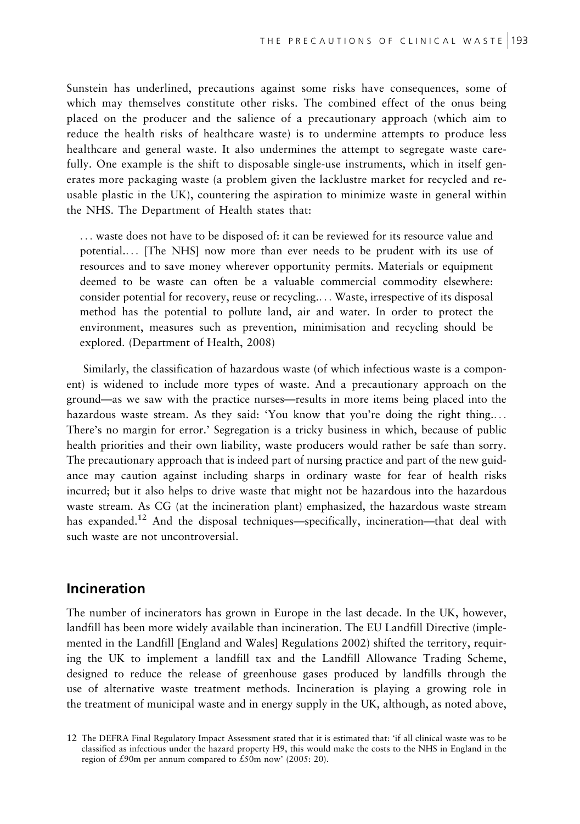Sunstein has underlined, precautions against some risks have consequences, some of which may themselves constitute other risks. The combined effect of the onus being placed on the producer and the salience of a precautionary approach (which aim to reduce the health risks of healthcare waste) is to undermine attempts to produce less healthcare and general waste. It also undermines the attempt to segregate waste carefully. One example is the shift to disposable single-use instruments, which in itself generates more packaging waste (a problem given the lacklustre market for recycled and reusable plastic in the UK), countering the aspiration to minimize waste in general within the NHS. The Department of Health states that:

... waste does not have to be disposed of: it can be reviewed for its resource value and potential.... [The NHS] now more than ever needs to be prudent with its use of resources and to save money wherever opportunity permits. Materials or equipment deemed to be waste can often be a valuable commercial commodity elsewhere: consider potential for recovery, reuse or recycling.... Waste, irrespective of its disposal method has the potential to pollute land, air and water. In order to protect the environment, measures such as prevention, minimisation and recycling should be explored. (Department of Health, 2008)

Similarly, the classification of hazardous waste (of which infectious waste is a component) is widened to include more types of waste. And a precautionary approach on the ground—as we saw with the practice nurses—results in more items being placed into the hazardous waste stream. As they said: 'You know that you're doing the right thing.... There's no margin for error.' Segregation is a tricky business in which, because of public health priorities and their own liability, waste producers would rather be safe than sorry. The precautionary approach that is indeed part of nursing practice and part of the new guidance may caution against including sharps in ordinary waste for fear of health risks incurred; but it also helps to drive waste that might not be hazardous into the hazardous waste stream. As CG (at the incineration plant) emphasized, the hazardous waste stream has expanded.<sup>12</sup> And the disposal techniques—specifically, incineration—that deal with such waste are not uncontroversial.

## Incineration

The number of incinerators has grown in Europe in the last decade. In the UK, however, landfill has been more widely available than incineration. The EU Landfill Directive (implemented in the Landfill [England and Wales] Regulations 2002) shifted the territory, requiring the UK to implement a landfill tax and the Landfill Allowance Trading Scheme, designed to reduce the release of greenhouse gases produced by landfills through the use of alternative waste treatment methods. Incineration is playing a growing role in the treatment of municipal waste and in energy supply in the UK, although, as noted above,

<sup>12</sup> The DEFRA Final Regulatory Impact Assessment stated that it is estimated that: 'if all clinical waste was to be classified as infectious under the hazard property H9, this would make the costs to the NHS in England in the region of £90m per annum compared to £50m now' (2005: 20).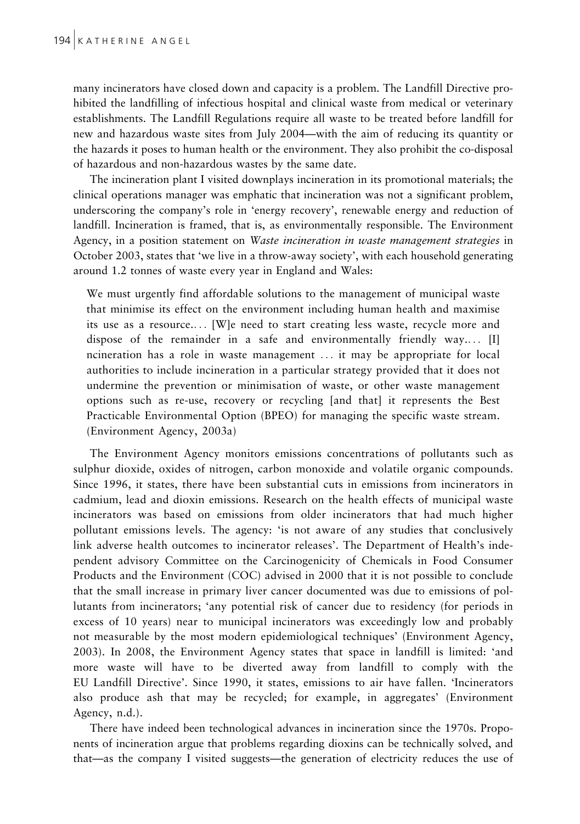many incinerators have closed down and capacity is a problem. The Landfill Directive prohibited the landfilling of infectious hospital and clinical waste from medical or veterinary establishments. The Landfill Regulations require all waste to be treated before landfill for new and hazardous waste sites from July 2004—with the aim of reducing its quantity or the hazards it poses to human health or the environment. They also prohibit the co-disposal of hazardous and non-hazardous wastes by the same date.

The incineration plant I visited downplays incineration in its promotional materials; the clinical operations manager was emphatic that incineration was not a significant problem, underscoring the company's role in 'energy recovery', renewable energy and reduction of landfill. Incineration is framed, that is, as environmentally responsible. The Environment Agency, in a position statement on Waste incineration in waste management strategies in October 2003, states that 'we live in a throw-away society', with each household generating around 1.2 tonnes of waste every year in England and Wales:

We must urgently find affordable solutions to the management of municipal waste that minimise its effect on the environment including human health and maximise its use as a resource.... [W]e need to start creating less waste, recycle more and dispose of the remainder in a safe and environmentally friendly  $way...$  [I] ncineration has a role in waste management ... it may be appropriate for local authorities to include incineration in a particular strategy provided that it does not undermine the prevention or minimisation of waste, or other waste management options such as re-use, recovery or recycling [and that] it represents the Best Practicable Environmental Option (BPEO) for managing the specific waste stream. (Environment Agency, 2003a)

The Environment Agency monitors emissions concentrations of pollutants such as sulphur dioxide, oxides of nitrogen, carbon monoxide and volatile organic compounds. Since 1996, it states, there have been substantial cuts in emissions from incinerators in cadmium, lead and dioxin emissions. Research on the health effects of municipal waste incinerators was based on emissions from older incinerators that had much higher pollutant emissions levels. The agency: 'is not aware of any studies that conclusively link adverse health outcomes to incinerator releases'. The Department of Health's independent advisory Committee on the Carcinogenicity of Chemicals in Food Consumer Products and the Environment (COC) advised in 2000 that it is not possible to conclude that the small increase in primary liver cancer documented was due to emissions of pollutants from incinerators; 'any potential risk of cancer due to residency (for periods in excess of 10 years) near to municipal incinerators was exceedingly low and probably not measurable by the most modern epidemiological techniques' (Environment Agency, 2003). In 2008, the Environment Agency states that space in landfill is limited: 'and more waste will have to be diverted away from landfill to comply with the EU Landfill Directive'. Since 1990, it states, emissions to air have fallen. 'Incinerators also produce ash that may be recycled; for example, in aggregates' (Environment Agency, n.d.).

There have indeed been technological advances in incineration since the 1970s. Proponents of incineration argue that problems regarding dioxins can be technically solved, and that—as the company I visited suggests—the generation of electricity reduces the use of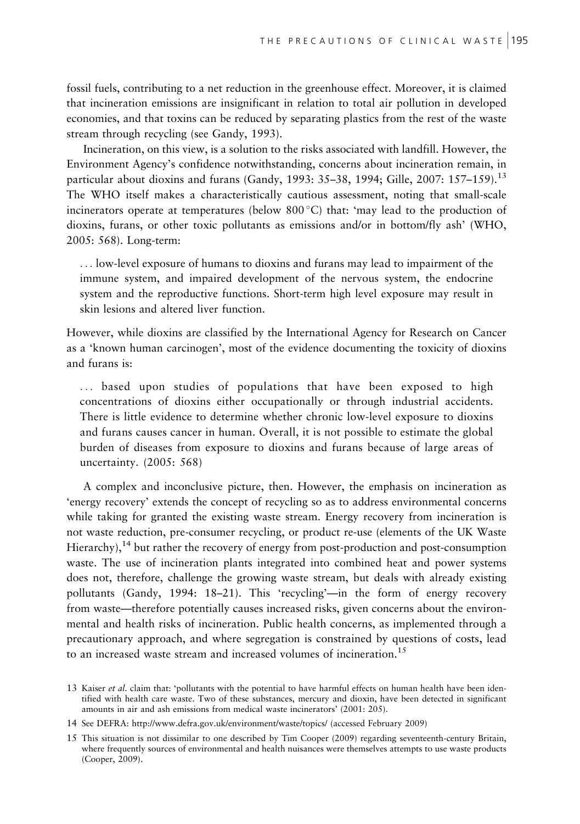fossil fuels, contributing to a net reduction in the greenhouse effect. Moreover, it is claimed that incineration emissions are insignificant in relation to total air pollution in developed economies, and that toxins can be reduced by separating plastics from the rest of the waste stream through recycling (see Gandy, 1993).

Incineration, on this view, is a solution to the risks associated with landfill. However, the Environment Agency's confidence notwithstanding, concerns about incineration remain, in particular about dioxins and furans (Gandy, 1993: 35-38, 1994; Gille, 2007: 157-159).<sup>13</sup> The WHO itself makes a characteristically cautious assessment, noting that small-scale incinerators operate at temperatures (below  $800^{\circ}$ C) that: 'may lead to the production of dioxins, furans, or other toxic pollutants as emissions and/or in bottom/fly ash' (WHO, 2005: 568). Long-term:

... low-level exposure of humans to dioxins and furans may lead to impairment of the immune system, and impaired development of the nervous system, the endocrine system and the reproductive functions. Short-term high level exposure may result in skin lesions and altered liver function.

However, while dioxins are classified by the International Agency for Research on Cancer as a 'known human carcinogen', most of the evidence documenting the toxicity of dioxins and furans is:

... based upon studies of populations that have been exposed to high concentrations of dioxins either occupationally or through industrial accidents. There is little evidence to determine whether chronic low-level exposure to dioxins and furans causes cancer in human. Overall, it is not possible to estimate the global burden of diseases from exposure to dioxins and furans because of large areas of uncertainty. (2005: 568)

A complex and inconclusive picture, then. However, the emphasis on incineration as 'energy recovery' extends the concept of recycling so as to address environmental concerns while taking for granted the existing waste stream. Energy recovery from incineration is not waste reduction, pre-consumer recycling, or product re-use (elements of the UK Waste Hierarchy),<sup>14</sup> but rather the recovery of energy from post-production and post-consumption waste. The use of incineration plants integrated into combined heat and power systems does not, therefore, challenge the growing waste stream, but deals with already existing pollutants (Gandy, 1994: 18–21). This 'recycling'—in the form of energy recovery from waste—therefore potentially causes increased risks, given concerns about the environmental and health risks of incineration. Public health concerns, as implemented through a precautionary approach, and where segregation is constrained by questions of costs, lead to an increased waste stream and increased volumes of incineration.<sup>15</sup>

<sup>13</sup> Kaiser et al. claim that: 'pollutants with the potential to have harmful effects on human health have been identified with health care waste. Two of these substances, mercury and dioxin, have been detected in significant amounts in air and ash emissions from medical waste incinerators' (2001: 205).

<sup>14</sup> See DEFRA:<http://www.defra.gov.uk/environment/waste/topics/> (accessed February 2009)

<sup>15</sup> This situation is not dissimilar to one described by Tim Cooper (2009) regarding seventeenth-century Britain, where frequently sources of environmental and health nuisances were themselves attempts to use waste products (Cooper, 2009).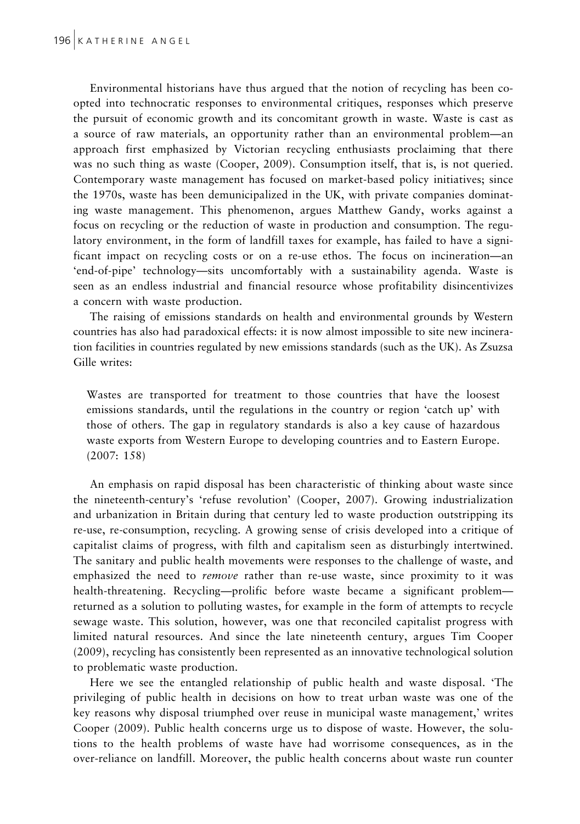Environmental historians have thus argued that the notion of recycling has been coopted into technocratic responses to environmental critiques, responses which preserve the pursuit of economic growth and its concomitant growth in waste. Waste is cast as a source of raw materials, an opportunity rather than an environmental problem—an approach first emphasized by Victorian recycling enthusiasts proclaiming that there was no such thing as waste (Cooper, 2009). Consumption itself, that is, is not queried. Contemporary waste management has focused on market-based policy initiatives; since the 1970s, waste has been demunicipalized in the UK, with private companies dominating waste management. This phenomenon, argues Matthew Gandy, works against a focus on recycling or the reduction of waste in production and consumption. The regulatory environment, in the form of landfill taxes for example, has failed to have a significant impact on recycling costs or on a re-use ethos. The focus on incineration—an 'end-of-pipe' technology—sits uncomfortably with a sustainability agenda. Waste is seen as an endless industrial and financial resource whose profitability disincentivizes a concern with waste production.

The raising of emissions standards on health and environmental grounds by Western countries has also had paradoxical effects: it is now almost impossible to site new incineration facilities in countries regulated by new emissions standards (such as the UK). As Zsuzsa Gille writes:

Wastes are transported for treatment to those countries that have the loosest emissions standards, until the regulations in the country or region 'catch up' with those of others. The gap in regulatory standards is also a key cause of hazardous waste exports from Western Europe to developing countries and to Eastern Europe. (2007: 158)

An emphasis on rapid disposal has been characteristic of thinking about waste since the nineteenth-century's 'refuse revolution' (Cooper, 2007). Growing industrialization and urbanization in Britain during that century led to waste production outstripping its re-use, re-consumption, recycling. A growing sense of crisis developed into a critique of capitalist claims of progress, with filth and capitalism seen as disturbingly intertwined. The sanitary and public health movements were responses to the challenge of waste, and emphasized the need to remove rather than re-use waste, since proximity to it was health-threatening. Recycling—prolific before waste became a significant problem returned as a solution to polluting wastes, for example in the form of attempts to recycle sewage waste. This solution, however, was one that reconciled capitalist progress with limited natural resources. And since the late nineteenth century, argues Tim Cooper (2009), recycling has consistently been represented as an innovative technological solution to problematic waste production.

Here we see the entangled relationship of public health and waste disposal. 'The privileging of public health in decisions on how to treat urban waste was one of the key reasons why disposal triumphed over reuse in municipal waste management,' writes Cooper (2009). Public health concerns urge us to dispose of waste. However, the solutions to the health problems of waste have had worrisome consequences, as in the over-reliance on landfill. Moreover, the public health concerns about waste run counter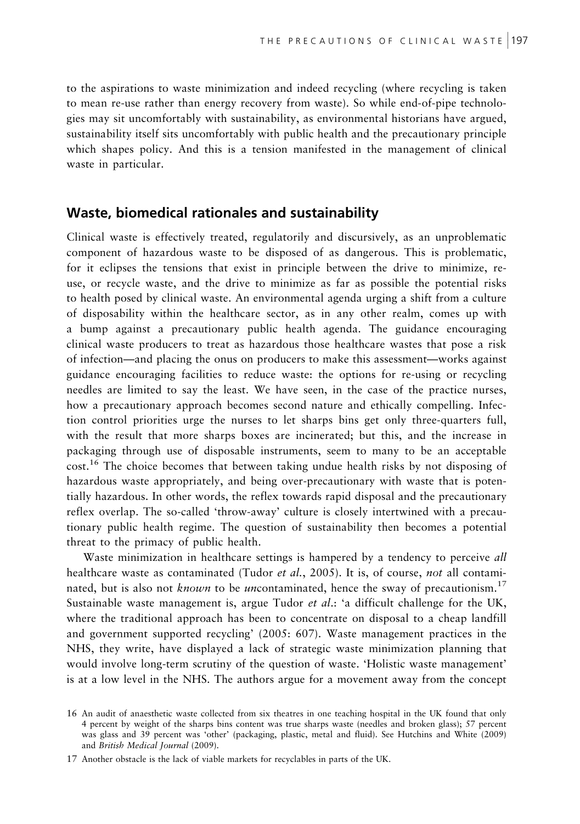to the aspirations to waste minimization and indeed recycling (where recycling is taken to mean re-use rather than energy recovery from waste). So while end-of-pipe technologies may sit uncomfortably with sustainability, as environmental historians have argued, sustainability itself sits uncomfortably with public health and the precautionary principle which shapes policy. And this is a tension manifested in the management of clinical waste in particular.

## Waste, biomedical rationales and sustainability

Clinical waste is effectively treated, regulatorily and discursively, as an unproblematic component of hazardous waste to be disposed of as dangerous. This is problematic, for it eclipses the tensions that exist in principle between the drive to minimize, reuse, or recycle waste, and the drive to minimize as far as possible the potential risks to health posed by clinical waste. An environmental agenda urging a shift from a culture of disposability within the healthcare sector, as in any other realm, comes up with a bump against a precautionary public health agenda. The guidance encouraging clinical waste producers to treat as hazardous those healthcare wastes that pose a risk of infection—and placing the onus on producers to make this assessment—works against guidance encouraging facilities to reduce waste: the options for re-using or recycling needles are limited to say the least. We have seen, in the case of the practice nurses, how a precautionary approach becomes second nature and ethically compelling. Infection control priorities urge the nurses to let sharps bins get only three-quarters full, with the result that more sharps boxes are incinerated; but this, and the increase in packaging through use of disposable instruments, seem to many to be an acceptable  $\cot^{16}$  The choice becomes that between taking undue health risks by not disposing of hazardous waste appropriately, and being over-precautionary with waste that is potentially hazardous. In other words, the reflex towards rapid disposal and the precautionary reflex overlap. The so-called 'throw-away' culture is closely intertwined with a precautionary public health regime. The question of sustainability then becomes a potential threat to the primacy of public health.

Waste minimization in healthcare settings is hampered by a tendency to perceive all healthcare waste as contaminated (Tudor et al., 2005). It is, of course, not all contaminated, but is also not *known* to be *un*contaminated, hence the sway of precautionism.<sup>17</sup> Sustainable waste management is, argue Tudor *et al.*: 'a difficult challenge for the UK, where the traditional approach has been to concentrate on disposal to a cheap landfill and government supported recycling' (2005: 607). Waste management practices in the NHS, they write, have displayed a lack of strategic waste minimization planning that would involve long-term scrutiny of the question of waste. 'Holistic waste management' is at a low level in the NHS. The authors argue for a movement away from the concept

<sup>16</sup> An audit of anaesthetic waste collected from six theatres in one teaching hospital in the UK found that only 4 percent by weight of the sharps bins content was true sharps waste (needles and broken glass); 57 percent was glass and 39 percent was 'other' (packaging, plastic, metal and fluid). See Hutchins and White (2009) and British Medical Journal (2009).

<sup>17</sup> Another obstacle is the lack of viable markets for recyclables in parts of the UK.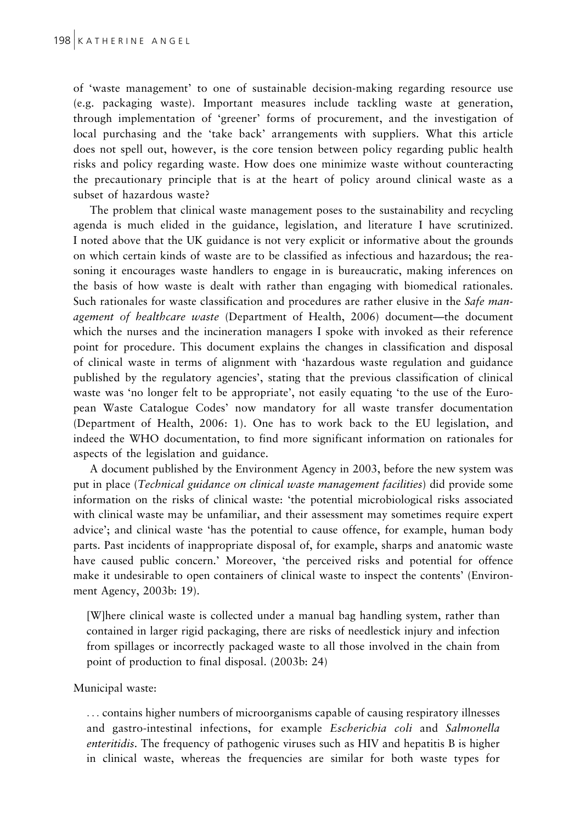of 'waste management' to one of sustainable decision-making regarding resource use (e.g. packaging waste). Important measures include tackling waste at generation, through implementation of 'greener' forms of procurement, and the investigation of local purchasing and the 'take back' arrangements with suppliers. What this article does not spell out, however, is the core tension between policy regarding public health risks and policy regarding waste. How does one minimize waste without counteracting the precautionary principle that is at the heart of policy around clinical waste as a subset of hazardous waste?

The problem that clinical waste management poses to the sustainability and recycling agenda is much elided in the guidance, legislation, and literature I have scrutinized. I noted above that the UK guidance is not very explicit or informative about the grounds on which certain kinds of waste are to be classified as infectious and hazardous; the reasoning it encourages waste handlers to engage in is bureaucratic, making inferences on the basis of how waste is dealt with rather than engaging with biomedical rationales. Such rationales for waste classification and procedures are rather elusive in the *Safe man*agement of healthcare waste (Department of Health, 2006) document—the document which the nurses and the incineration managers I spoke with invoked as their reference point for procedure. This document explains the changes in classification and disposal of clinical waste in terms of alignment with 'hazardous waste regulation and guidance published by the regulatory agencies', stating that the previous classification of clinical waste was 'no longer felt to be appropriate', not easily equating 'to the use of the European Waste Catalogue Codes' now mandatory for all waste transfer documentation (Department of Health, 2006: 1). One has to work back to the EU legislation, and indeed the WHO documentation, to find more significant information on rationales for aspects of the legislation and guidance.

A document published by the Environment Agency in 2003, before the new system was put in place (Technical guidance on clinical waste management facilities) did provide some information on the risks of clinical waste: 'the potential microbiological risks associated with clinical waste may be unfamiliar, and their assessment may sometimes require expert advice'; and clinical waste 'has the potential to cause offence, for example, human body parts. Past incidents of inappropriate disposal of, for example, sharps and anatomic waste have caused public concern.' Moreover, 'the perceived risks and potential for offence make it undesirable to open containers of clinical waste to inspect the contents' (Environment Agency, 2003b: 19).

[W]here clinical waste is collected under a manual bag handling system, rather than contained in larger rigid packaging, there are risks of needlestick injury and infection from spillages or incorrectly packaged waste to all those involved in the chain from point of production to final disposal. (2003b: 24)

### Municipal waste:

... contains higher numbers of microorganisms capable of causing respiratory illnesses and gastro-intestinal infections, for example Escherichia coli and Salmonella enteritidis. The frequency of pathogenic viruses such as HIV and hepatitis B is higher in clinical waste, whereas the frequencies are similar for both waste types for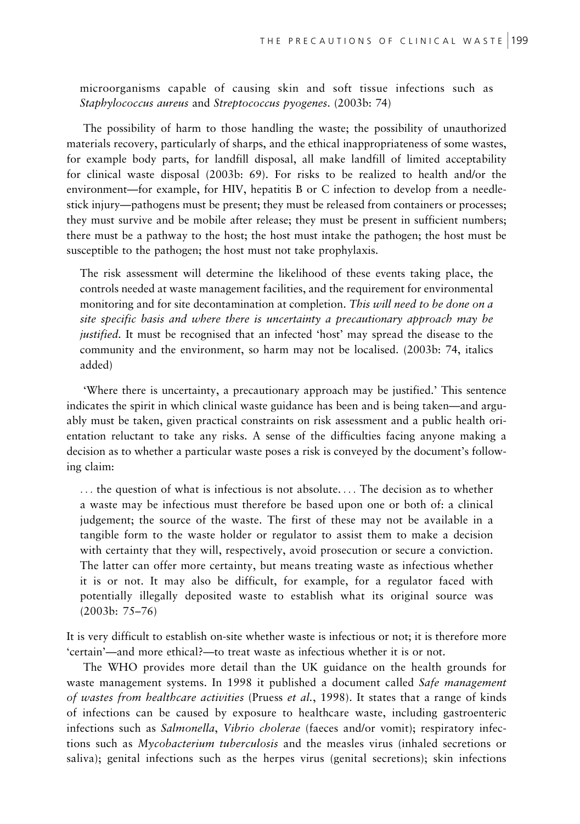microorganisms capable of causing skin and soft tissue infections such as Staphylococcus aureus and Streptococcus pyogenes. (2003b: 74)

The possibility of harm to those handling the waste; the possibility of unauthorized materials recovery, particularly of sharps, and the ethical inappropriateness of some wastes, for example body parts, for landfill disposal, all make landfill of limited acceptability for clinical waste disposal (2003b: 69). For risks to be realized to health and/or the environment—for example, for HIV, hepatitis B or C infection to develop from a needlestick injury—pathogens must be present; they must be released from containers or processes; they must survive and be mobile after release; they must be present in sufficient numbers; there must be a pathway to the host; the host must intake the pathogen; the host must be susceptible to the pathogen; the host must not take prophylaxis.

The risk assessment will determine the likelihood of these events taking place, the controls needed at waste management facilities, and the requirement for environmental monitoring and for site decontamination at completion. This will need to be done on a site specific basis and where there is uncertainty a precautionary approach may be justified. It must be recognised that an infected 'host' may spread the disease to the community and the environment, so harm may not be localised. (2003b: 74, italics added)

'Where there is uncertainty, a precautionary approach may be justified.' This sentence indicates the spirit in which clinical waste guidance has been and is being taken—and arguably must be taken, given practical constraints on risk assessment and a public health orientation reluctant to take any risks. A sense of the difficulties facing anyone making a decision as to whether a particular waste poses a risk is conveyed by the document's following claim:

... the question of what is infectious is not absolute. ... The decision as to whether a waste may be infectious must therefore be based upon one or both of: a clinical judgement; the source of the waste. The first of these may not be available in a tangible form to the waste holder or regulator to assist them to make a decision with certainty that they will, respectively, avoid prosecution or secure a conviction. The latter can offer more certainty, but means treating waste as infectious whether it is or not. It may also be difficult, for example, for a regulator faced with potentially illegally deposited waste to establish what its original source was (2003b: 75–76)

It is very difficult to establish on-site whether waste is infectious or not; it is therefore more 'certain'—and more ethical?—to treat waste as infectious whether it is or not.

The WHO provides more detail than the UK guidance on the health grounds for waste management systems. In 1998 it published a document called Safe management of wastes from healthcare activities (Pruess et al., 1998). It states that a range of kinds of infections can be caused by exposure to healthcare waste, including gastroenteric infections such as Salmonella, Vibrio cholerae (faeces and/or vomit); respiratory infections such as Mycobacterium tuberculosis and the measles virus (inhaled secretions or saliva); genital infections such as the herpes virus (genital secretions); skin infections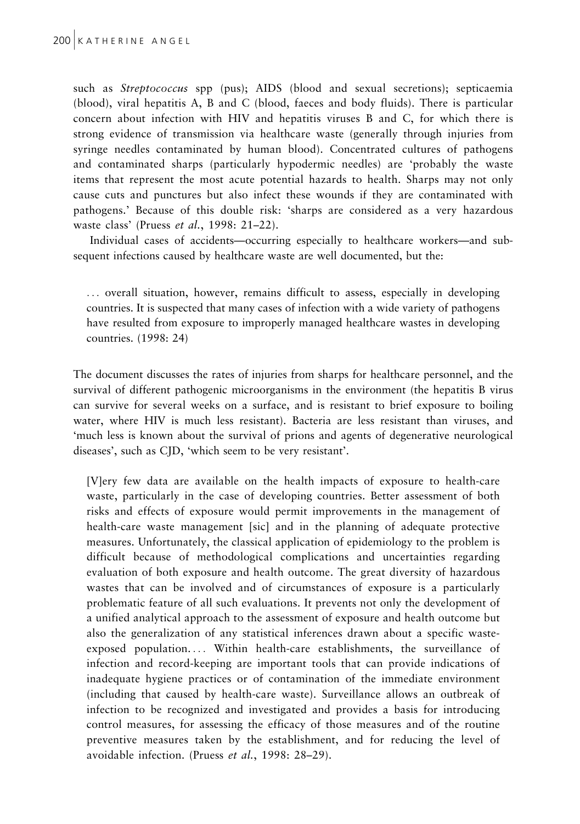such as *Streptococcus* spp (pus); AIDS (blood and sexual secretions); septicaemia (blood), viral hepatitis A, B and C (blood, faeces and body fluids). There is particular concern about infection with HIV and hepatitis viruses B and C, for which there is strong evidence of transmission via healthcare waste (generally through injuries from syringe needles contaminated by human blood). Concentrated cultures of pathogens and contaminated sharps (particularly hypodermic needles) are 'probably the waste items that represent the most acute potential hazards to health. Sharps may not only cause cuts and punctures but also infect these wounds if they are contaminated with pathogens.' Because of this double risk: 'sharps are considered as a very hazardous waste class' (Pruess et al., 1998: 21–22).

Individual cases of accidents—occurring especially to healthcare workers—and subsequent infections caused by healthcare waste are well documented, but the:

... overall situation, however, remains difficult to assess, especially in developing countries. It is suspected that many cases of infection with a wide variety of pathogens have resulted from exposure to improperly managed healthcare wastes in developing countries. (1998: 24)

The document discusses the rates of injuries from sharps for healthcare personnel, and the survival of different pathogenic microorganisms in the environment (the hepatitis B virus can survive for several weeks on a surface, and is resistant to brief exposure to boiling water, where HIV is much less resistant). Bacteria are less resistant than viruses, and 'much less is known about the survival of prions and agents of degenerative neurological diseases', such as CJD, 'which seem to be very resistant'.

[V]ery few data are available on the health impacts of exposure to health-care waste, particularly in the case of developing countries. Better assessment of both risks and effects of exposure would permit improvements in the management of health-care waste management [sic] and in the planning of adequate protective measures. Unfortunately, the classical application of epidemiology to the problem is difficult because of methodological complications and uncertainties regarding evaluation of both exposure and health outcome. The great diversity of hazardous wastes that can be involved and of circumstances of exposure is a particularly problematic feature of all such evaluations. It prevents not only the development of a unified analytical approach to the assessment of exposure and health outcome but also the generalization of any statistical inferences drawn about a specific wasteexposed population. ... Within health-care establishments, the surveillance of infection and record-keeping are important tools that can provide indications of inadequate hygiene practices or of contamination of the immediate environment (including that caused by health-care waste). Surveillance allows an outbreak of infection to be recognized and investigated and provides a basis for introducing control measures, for assessing the efficacy of those measures and of the routine preventive measures taken by the establishment, and for reducing the level of avoidable infection. (Pruess et al., 1998: 28–29).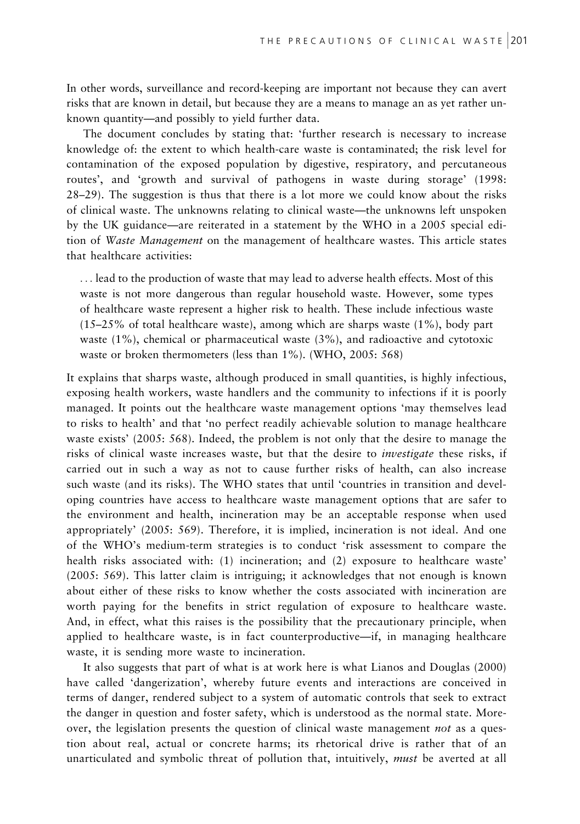In other words, surveillance and record-keeping are important not because they can avert risks that are known in detail, but because they are a means to manage an as yet rather unknown quantity—and possibly to yield further data.

The document concludes by stating that: 'further research is necessary to increase knowledge of: the extent to which health-care waste is contaminated; the risk level for contamination of the exposed population by digestive, respiratory, and percutaneous routes', and 'growth and survival of pathogens in waste during storage' (1998: 28–29). The suggestion is thus that there is a lot more we could know about the risks of clinical waste. The unknowns relating to clinical waste—the unknowns left unspoken by the UK guidance—are reiterated in a statement by the WHO in a 2005 special edition of Waste Management on the management of healthcare wastes. This article states that healthcare activities:

... lead to the production of waste that may lead to adverse health effects. Most of this waste is not more dangerous than regular household waste. However, some types of healthcare waste represent a higher risk to health. These include infectious waste  $(15-25\%$  of total healthcare waste), among which are sharps waste  $(1\%)$ , body part waste (1%), chemical or pharmaceutical waste (3%), and radioactive and cytotoxic waste or broken thermometers (less than 1%). (WHO, 2005: 568)

It explains that sharps waste, although produced in small quantities, is highly infectious, exposing health workers, waste handlers and the community to infections if it is poorly managed. It points out the healthcare waste management options 'may themselves lead to risks to health' and that 'no perfect readily achievable solution to manage healthcare waste exists' (2005: 568). Indeed, the problem is not only that the desire to manage the risks of clinical waste increases waste, but that the desire to investigate these risks, if carried out in such a way as not to cause further risks of health, can also increase such waste (and its risks). The WHO states that until 'countries in transition and developing countries have access to healthcare waste management options that are safer to the environment and health, incineration may be an acceptable response when used appropriately' (2005: 569). Therefore, it is implied, incineration is not ideal. And one of the WHO's medium-term strategies is to conduct 'risk assessment to compare the health risks associated with: (1) incineration; and (2) exposure to healthcare waste' (2005: 569). This latter claim is intriguing; it acknowledges that not enough is known about either of these risks to know whether the costs associated with incineration are worth paying for the benefits in strict regulation of exposure to healthcare waste. And, in effect, what this raises is the possibility that the precautionary principle, when applied to healthcare waste, is in fact counterproductive—if, in managing healthcare waste, it is sending more waste to incineration.

It also suggests that part of what is at work here is what Lianos and Douglas (2000) have called 'dangerization', whereby future events and interactions are conceived in terms of danger, rendered subject to a system of automatic controls that seek to extract the danger in question and foster safety, which is understood as the normal state. Moreover, the legislation presents the question of clinical waste management not as a question about real, actual or concrete harms; its rhetorical drive is rather that of an unarticulated and symbolic threat of pollution that, intuitively, *must* be averted at all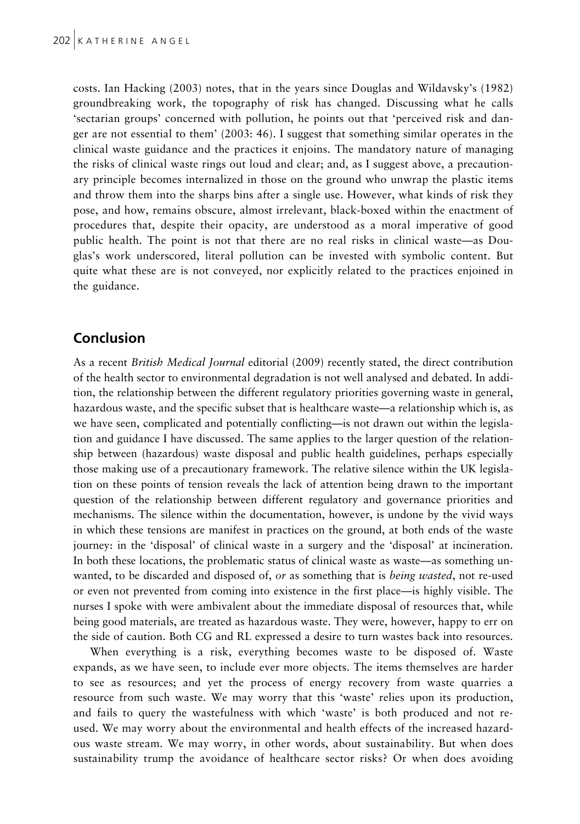costs. Ian Hacking (2003) notes, that in the years since Douglas and Wildavsky's (1982) groundbreaking work, the topography of risk has changed. Discussing what he calls 'sectarian groups' concerned with pollution, he points out that 'perceived risk and danger are not essential to them' (2003: 46). I suggest that something similar operates in the clinical waste guidance and the practices it enjoins. The mandatory nature of managing the risks of clinical waste rings out loud and clear; and, as I suggest above, a precautionary principle becomes internalized in those on the ground who unwrap the plastic items and throw them into the sharps bins after a single use. However, what kinds of risk they pose, and how, remains obscure, almost irrelevant, black-boxed within the enactment of procedures that, despite their opacity, are understood as a moral imperative of good public health. The point is not that there are no real risks in clinical waste—as Douglas's work underscored, literal pollution can be invested with symbolic content. But quite what these are is not conveyed, nor explicitly related to the practices enjoined in the guidance.

# Conclusion

As a recent British Medical Journal editorial (2009) recently stated, the direct contribution of the health sector to environmental degradation is not well analysed and debated. In addition, the relationship between the different regulatory priorities governing waste in general, hazardous waste, and the specific subset that is healthcare waste—a relationship which is, as we have seen, complicated and potentially conflicting—is not drawn out within the legislation and guidance I have discussed. The same applies to the larger question of the relationship between (hazardous) waste disposal and public health guidelines, perhaps especially those making use of a precautionary framework. The relative silence within the UK legislation on these points of tension reveals the lack of attention being drawn to the important question of the relationship between different regulatory and governance priorities and mechanisms. The silence within the documentation, however, is undone by the vivid ways in which these tensions are manifest in practices on the ground, at both ends of the waste journey: in the 'disposal' of clinical waste in a surgery and the 'disposal' at incineration. In both these locations, the problematic status of clinical waste as waste—as something unwanted, to be discarded and disposed of, or as something that is being wasted, not re-used or even not prevented from coming into existence in the first place—is highly visible. The nurses I spoke with were ambivalent about the immediate disposal of resources that, while being good materials, are treated as hazardous waste. They were, however, happy to err on the side of caution. Both CG and RL expressed a desire to turn wastes back into resources.

When everything is a risk, everything becomes waste to be disposed of. Waste expands, as we have seen, to include ever more objects. The items themselves are harder to see as resources; and yet the process of energy recovery from waste quarries a resource from such waste. We may worry that this 'waste' relies upon its production, and fails to query the wastefulness with which 'waste' is both produced and not reused. We may worry about the environmental and health effects of the increased hazardous waste stream. We may worry, in other words, about sustainability. But when does sustainability trump the avoidance of healthcare sector risks? Or when does avoiding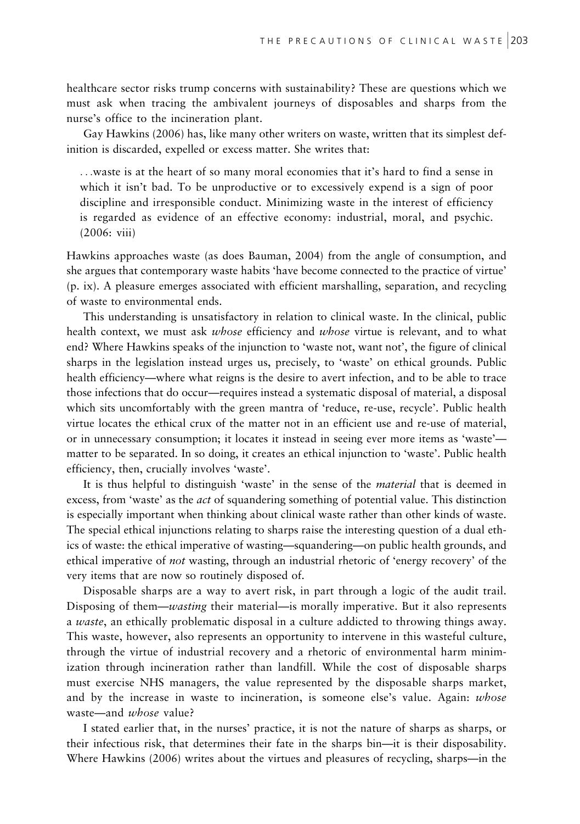healthcare sector risks trump concerns with sustainability? These are questions which we must ask when tracing the ambivalent journeys of disposables and sharps from the nurse's office to the incineration plant.

Gay Hawkins (2006) has, like many other writers on waste, written that its simplest definition is discarded, expelled or excess matter. She writes that:

...waste is at the heart of so many moral economies that it's hard to find a sense in which it isn't bad. To be unproductive or to excessively expend is a sign of poor discipline and irresponsible conduct. Minimizing waste in the interest of efficiency is regarded as evidence of an effective economy: industrial, moral, and psychic. (2006: viii)

Hawkins approaches waste (as does Bauman, 2004) from the angle of consumption, and she argues that contemporary waste habits 'have become connected to the practice of virtue' (p. ix). A pleasure emerges associated with efficient marshalling, separation, and recycling of waste to environmental ends.

This understanding is unsatisfactory in relation to clinical waste. In the clinical, public health context, we must ask *whose* efficiency and *whose* virtue is relevant, and to what end? Where Hawkins speaks of the injunction to 'waste not, want not', the figure of clinical sharps in the legislation instead urges us, precisely, to 'waste' on ethical grounds. Public health efficiency—where what reigns is the desire to avert infection, and to be able to trace those infections that do occur—requires instead a systematic disposal of material, a disposal which sits uncomfortably with the green mantra of 'reduce, re-use, recycle'. Public health virtue locates the ethical crux of the matter not in an efficient use and re-use of material, or in unnecessary consumption; it locates it instead in seeing ever more items as 'waste' matter to be separated. In so doing, it creates an ethical injunction to 'waste'. Public health efficiency, then, crucially involves 'waste'.

It is thus helpful to distinguish 'waste' in the sense of the material that is deemed in excess, from 'waste' as the act of squandering something of potential value. This distinction is especially important when thinking about clinical waste rather than other kinds of waste. The special ethical injunctions relating to sharps raise the interesting question of a dual ethics of waste: the ethical imperative of wasting—squandering—on public health grounds, and ethical imperative of not wasting, through an industrial rhetoric of 'energy recovery' of the very items that are now so routinely disposed of.

Disposable sharps are a way to avert risk, in part through a logic of the audit trail. Disposing of them—wasting their material—is morally imperative. But it also represents a waste, an ethically problematic disposal in a culture addicted to throwing things away. This waste, however, also represents an opportunity to intervene in this wasteful culture, through the virtue of industrial recovery and a rhetoric of environmental harm minimization through incineration rather than landfill. While the cost of disposable sharps must exercise NHS managers, the value represented by the disposable sharps market, and by the increase in waste to incineration, is someone else's value. Again: whose waste—and whose value?

I stated earlier that, in the nurses' practice, it is not the nature of sharps as sharps, or their infectious risk, that determines their fate in the sharps bin—it is their disposability. Where Hawkins (2006) writes about the virtues and pleasures of recycling, sharps—in the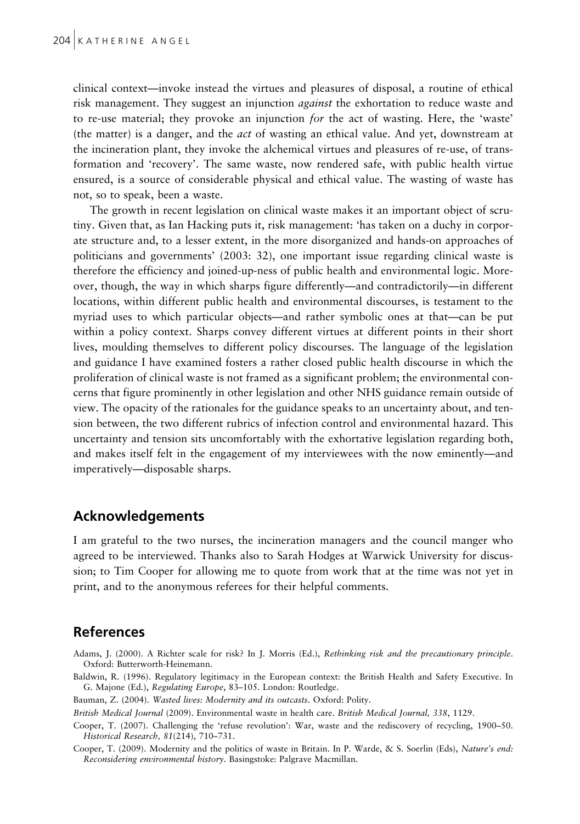clinical context—invoke instead the virtues and pleasures of disposal, a routine of ethical risk management. They suggest an injunction *against* the exhortation to reduce waste and to re-use material; they provoke an injunction for the act of wasting. Here, the 'waste' (the matter) is a danger, and the act of wasting an ethical value. And yet, downstream at the incineration plant, they invoke the alchemical virtues and pleasures of re-use, of transformation and 'recovery'. The same waste, now rendered safe, with public health virtue ensured, is a source of considerable physical and ethical value. The wasting of waste has not, so to speak, been a waste.

The growth in recent legislation on clinical waste makes it an important object of scrutiny. Given that, as Ian Hacking puts it, risk management: 'has taken on a duchy in corporate structure and, to a lesser extent, in the more disorganized and hands-on approaches of politicians and governments' (2003: 32), one important issue regarding clinical waste is therefore the efficiency and joined-up-ness of public health and environmental logic. Moreover, though, the way in which sharps figure differently—and contradictorily—in different locations, within different public health and environmental discourses, is testament to the myriad uses to which particular objects—and rather symbolic ones at that—can be put within a policy context. Sharps convey different virtues at different points in their short lives, moulding themselves to different policy discourses. The language of the legislation and guidance I have examined fosters a rather closed public health discourse in which the proliferation of clinical waste is not framed as a significant problem; the environmental concerns that figure prominently in other legislation and other NHS guidance remain outside of view. The opacity of the rationales for the guidance speaks to an uncertainty about, and tension between, the two different rubrics of infection control and environmental hazard. This uncertainty and tension sits uncomfortably with the exhortative legislation regarding both, and makes itself felt in the engagement of my interviewees with the now eminently—and imperatively—disposable sharps.

# Acknowledgements

I am grateful to the two nurses, the incineration managers and the council manger who agreed to be interviewed. Thanks also to Sarah Hodges at Warwick University for discussion; to Tim Cooper for allowing me to quote from work that at the time was not yet in print, and to the anonymous referees for their helpful comments.

## References

- Adams, J. (2000). A Richter scale for risk? In J. Morris (Ed.), Rethinking risk and the precautionary principle. Oxford: Butterworth-Heinemann.
- Baldwin, R. (1996). Regulatory legitimacy in the European context: the British Health and Safety Executive. In G. Majone (Ed.), Regulating Europe, 83–105. London: Routledge.
- Bauman, Z. (2004). Wasted lives: Modernity and its outcasts. Oxford: Polity.
- British Medical Journal (2009). Environmental waste in health care. British Medical Journal, 338, 1129.
- Cooper, T. (2007). Challenging the 'refuse revolution': War, waste and the rediscovery of recycling, 1900–50. Historical Research, 81(214), 710–731.

Cooper, T. (2009). Modernity and the politics of waste in Britain. In P. Warde, & S. Soerlin (Eds), Nature's end: Reconsidering environmental history. Basingstoke: Palgrave Macmillan.